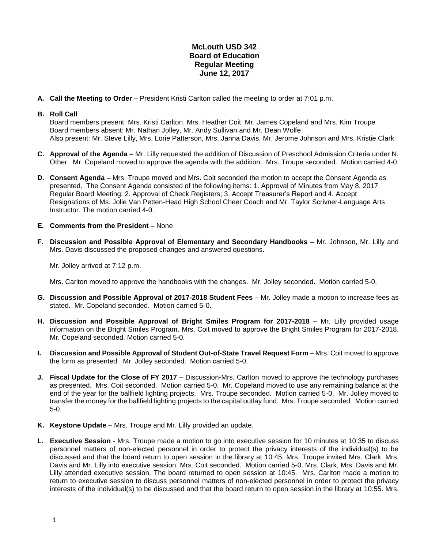## **McLouth USD 342 Board of Education Regular Meeting June 12, 2017**

**A. Call the Meeting to Order** – President Kristi Carlton called the meeting to order at 7:01 p.m.

## **B. Roll Call**

Board members present: Mrs. Kristi Carlton, Mrs. Heather Coit, Mr. James Copeland and Mrs. Kim Troupe Board members absent: Mr. Nathan Jolley, Mr. Andy Sullivan and Mr. Dean Wolfe Also present: Mr. Steve Lilly, Mrs. Lorie Patterson, Mrs. Janna Davis, Mr. Jerome Johnson and Mrs. Kristie Clark

- **C. Approval of the Agenda** Mr. Lilly requested the addition of Discussion of Preschool Admission Criteria under N. Other. Mr. Copeland moved to approve the agenda with the addition. Mrs. Troupe seconded. Motion carried 4-0.
- **D. Consent Agenda** Mrs. Troupe moved and Mrs. Coit seconded the motion to accept the Consent Agenda as presented. The Consent Agenda consisted of the following items: 1. Approval of Minutes from May 8, 2017 Regular Board Meeting; 2. Approval of Check Registers; 3. Accept Treasurer's Report and 4. Accept Resignations of Ms. Jolie Van Petten-Head High School Cheer Coach and Mr. Taylor Scrivner-Language Arts Instructor. The motion carried 4-0.
- **E. Comments from the President** None
- **F. Discussion and Possible Approval of Elementary and Secondary Handbooks**  Mr. Johnson, Mr. Lilly and Mrs. Davis discussed the proposed changes and answered questions.

Mr. Jolley arrived at 7:12 p.m.

Mrs. Carlton moved to approve the handbooks with the changes. Mr. Jolley seconded. Motion carried 5-0.

- **G. Discussion and Possible Approval of 2017-2018 Student Fees** Mr. Jolley made a motion to increase fees as stated. Mr. Copeland seconded. Motion carried 5-0.
- **H. Discussion and Possible Approval of Bright Smiles Program for 2017-2018** Mr. Lilly provided usage information on the Bright Smiles Program. Mrs. Coit moved to approve the Bright Smiles Program for 2017-2018. Mr. Copeland seconded. Motion carried 5-0.
- **I. Discussion and Possible Approval of Student Out-of-State Travel Request Form** Mrs. Coit moved to approve the form as presented. Mr. Jolley seconded. Motion carried 5-0.
- **J. Fiscal Update for the Close of FY 2017** Discussion-Mrs. Carlton moved to approve the technology purchases as presented. Mrs. Coit seconded. Motion carried 5-0. Mr. Copeland moved to use any remaining balance at the end of the year for the ballfield lighting projects. Mrs. Troupe seconded. Motion carried 5-0. Mr. Jolley moved to transfer the money for the ballfield lighting projects to the capital outlay fund. Mrs. Troupe seconded. Motion carried 5-0.
- **K. Keystone Update**  Mrs. Troupe and Mr. Lilly provided an update.
- **L. Executive Session** Mrs. Troupe made a motion to go into executive session for 10 minutes at 10:35 to discuss personnel matters of non-elected personnel in order to protect the privacy interests of the individual(s) to be discussed and that the board return to open session in the library at 10:45. Mrs. Troupe invited Mrs. Clark, Mrs. Davis and Mr. Lilly into executive session. Mrs. Coit seconded. Motion carried 5-0. Mrs. Clark, Mrs. Davis and Mr. Lilly attended executive session. The board returned to open session at 10:45. Mrs. Carlton made a motion to return to executive session to discuss personnel matters of non-elected personnel in order to protect the privacy interests of the individual(s) to be discussed and that the board return to open session in the library at 10:55. Mrs.